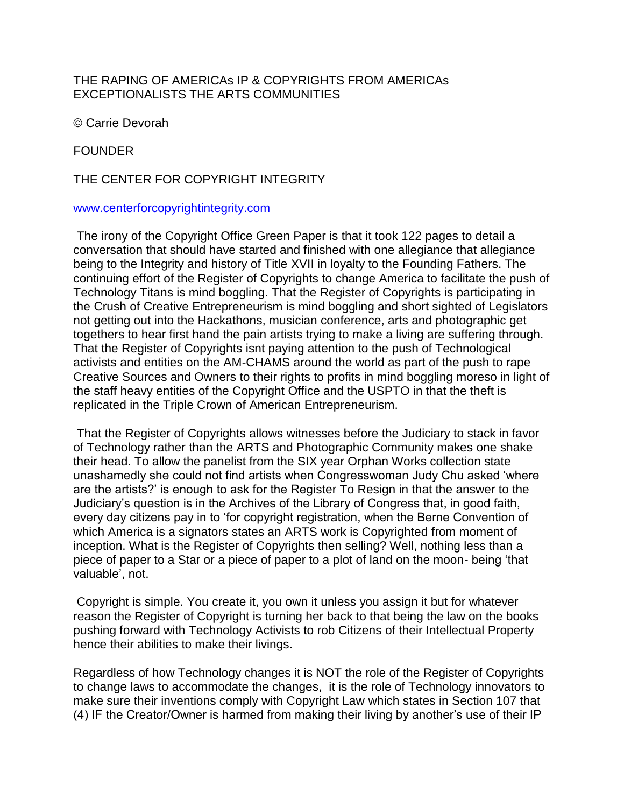## THE RAPING OF AMERICAs IP & COPYRIGHTS FROM AMERICAs EXCEPTIONALISTS THE ARTS COMMUNITIES

© Carrie Devorah

**FOUNDER** 

## THE CENTER FOR COPYRIGHT INTEGRITY

## [www.centerforcopyrightintegrity.com](http://www.centerforcopyrightintegrity.com/)

The irony of the Copyright Office Green Paper is that it took 122 pages to detail a conversation that should have started and finished with one allegiance that allegiance being to the Integrity and history of Title XVII in loyalty to the Founding Fathers. The continuing effort of the Register of Copyrights to change America to facilitate the push of Technology Titans is mind boggling. That the Register of Copyrights is participating in the Crush of Creative Entrepreneurism is mind boggling and short sighted of Legislators not getting out into the Hackathons, musician conference, arts and photographic get togethers to hear first hand the pain artists trying to make a living are suffering through. That the Register of Copyrights isnt paying attention to the push of Technological activists and entities on the AM-CHAMS around the world as part of the push to rape Creative Sources and Owners to their rights to profits in mind boggling moreso in light of the staff heavy entities of the Copyright Office and the USPTO in that the theft is replicated in the Triple Crown of American Entrepreneurism.

That the Register of Copyrights allows witnesses before the Judiciary to stack in favor of Technology rather than the ARTS and Photographic Community makes one shake their head. To allow the panelist from the SIX year Orphan Works collection state unashamedly she could not find artists when Congresswoman Judy Chu asked 'where are the artists?' is enough to ask for the Register To Resign in that the answer to the Judiciary's question is in the Archives of the Library of Congress that, in good faith, every day citizens pay in to 'for copyright registration, when the Berne Convention of which America is a signators states an ARTS work is Copyrighted from moment of inception. What is the Register of Copyrights then selling? Well, nothing less than a piece of paper to a Star or a piece of paper to a plot of land on the moon- being 'that valuable', not.

Copyright is simple. You create it, you own it unless you assign it but for whatever reason the Register of Copyright is turning her back to that being the law on the books pushing forward with Technology Activists to rob Citizens of their Intellectual Property hence their abilities to make their livings.

Regardless of how Technology changes it is NOT the role of the Register of Copyrights to change laws to accommodate the changes, it is the role of Technology innovators to make sure their inventions comply with Copyright Law which states in Section 107 that (4) IF the Creator/Owner is harmed from making their living by another's use of their IP